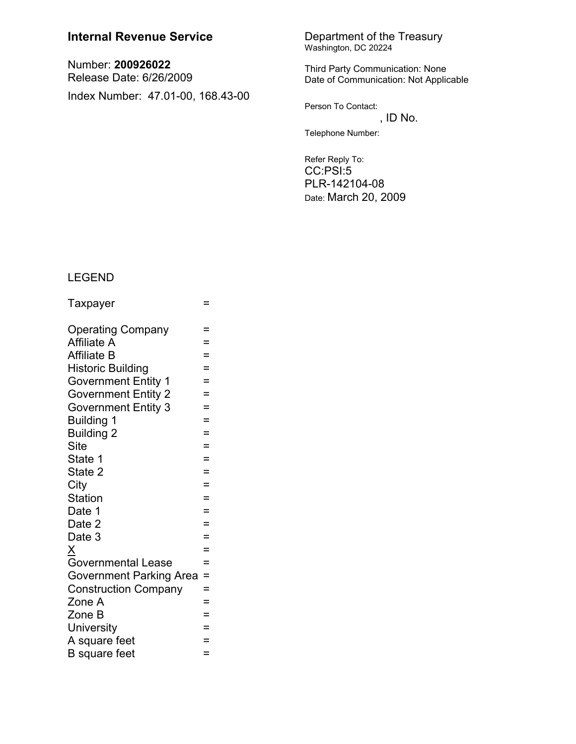## **Internal Revenue Service**

Number: 200926022 Release Date: 6/26/2009 Index Number: 47.01-00, 168.43-00

# Department of the Treasury<br>Washington, DC 20224

Third Party Communication: None Date of Communication: Not Applicable

Person To Contact:

, ID No. Telephone Number:

Refer Reply To: CC:PSI:5 PLR-142104-08 Date: March 20, 2009

### **LEGEND**

| Taxpayer                       | =   |
|--------------------------------|-----|
| <b>Operating Company</b>       | =   |
| <b>Affiliate A</b>             | Ξ   |
| <b>Affiliate B</b>             | Ξ   |
| <b>Historic Building</b>       | $=$ |
| <b>Government Entity 1</b>     | $=$ |
| <b>Government Entity 2</b>     | $=$ |
| <b>Government Entity 3</b>     | $=$ |
| <b>Building 1</b>              | $=$ |
| <b>Building 2</b>              | $=$ |
| <b>Site</b>                    | $=$ |
| State 1                        | $=$ |
| State 2                        | Ξ   |
| City                           | =   |
| <b>Station</b>                 | $=$ |
| Date 1                         | $=$ |
| Date 2                         | $=$ |
| Date 3                         | $=$ |
| X<br>Governmental Lease        | $=$ |
|                                | $=$ |
| <b>Government Parking Area</b> | $=$ |
| <b>Construction Company</b>    | =   |
| Zone A                         | $=$ |
| Zone B                         | $=$ |
| <b>University</b>              | $=$ |
| A square feet                  | $=$ |
| <b>B</b> square feet           | $=$ |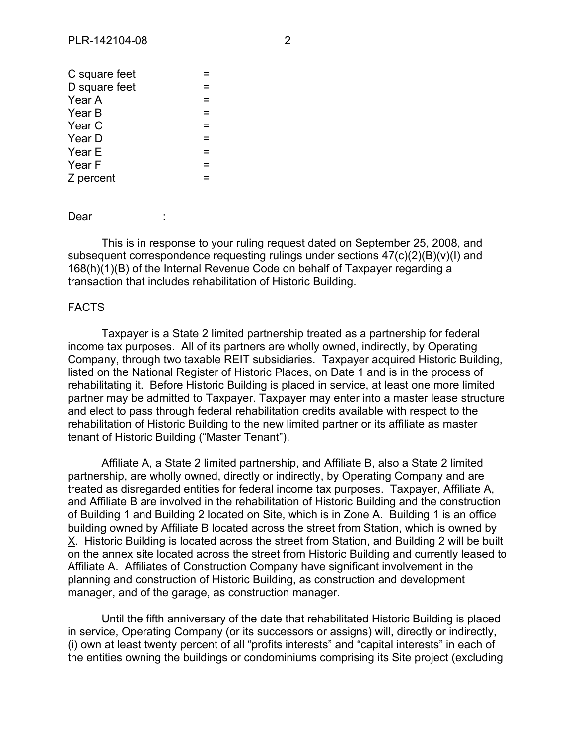Dear :

This is in response to your ruling request dated on September 25, 2008, and subsequent correspondence requesting rulings under sections 47(c)(2)(B)(v)(I) and 168(h)(1)(B) of the Internal Revenue Code on behalf of Taxpayer regarding a transaction that includes rehabilitation of Historic Building.

#### FACTS

Taxpayer is a State 2 limited partnership treated as a partnership for federal income tax purposes. All of its partners are wholly owned, indirectly, by Operating Company, through two taxable REIT subsidiaries. Taxpayer acquired Historic Building, listed on the National Register of Historic Places, on Date 1 and is in the process of rehabilitating it. Before Historic Building is placed in service, at least one more limited partner may be admitted to Taxpayer. Taxpayer may enter into a master lease structure and elect to pass through federal rehabilitation credits available with respect to the rehabilitation of Historic Building to the new limited partner or its affiliate as master tenant of Historic Building ("Master Tenant").

Affiliate A, a State 2 limited partnership, and Affiliate B, also a State 2 limited partnership, are wholly owned, directly or indirectly, by Operating Company and are treated as disregarded entities for federal income tax purposes. Taxpayer, Affiliate A, and Affiliate B are involved in the rehabilitation of Historic Building and the construction of Building 1 and Building 2 located on Site, which is in Zone A. Building 1 is an office building owned by Affiliate B located across the street from Station, which is owned by X. Historic Building is located across the street from Station, and Building 2 will be built on the annex site located across the street from Historic Building and currently leased to Affiliate A. Affiliates of Construction Company have significant involvement in the planning and construction of Historic Building, as construction and development manager, and of the garage, as construction manager.

Until the fifth anniversary of the date that rehabilitated Historic Building is placed in service, Operating Company (or its successors or assigns) will, directly or indirectly, (i) own at least twenty percent of all "profits interests" and "capital interests" in each of the entities owning the buildings or condominiums comprising its Site project (excluding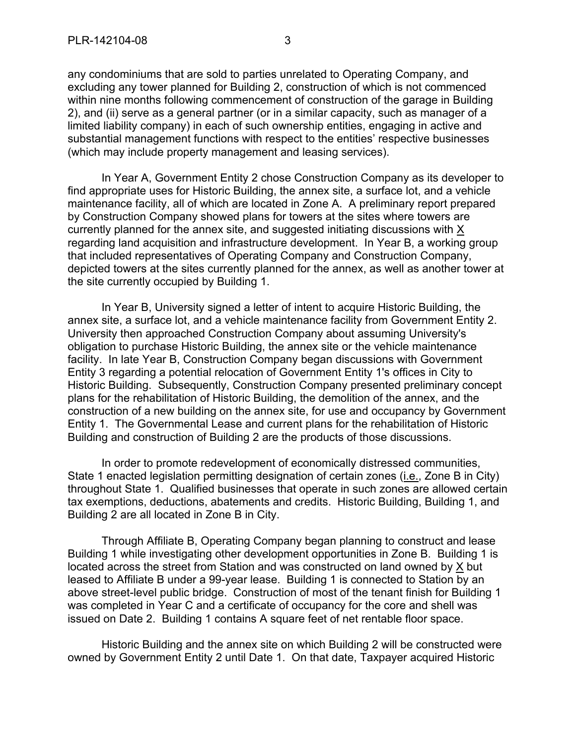any condominiums that are sold to parties unrelated to Operating Company, and excluding any tower planned for Building 2, construction of which is not commenced within nine months following commencement of construction of the garage in Building 2), and (ii) serve as a general partner (or in a similar capacity, such as manager of a limited liability company) in each of such ownership entities, engaging in active and substantial management functions with respect to the entities' respective businesses (which may include property management and leasing services).

In Year A, Government Entity 2 chose Construction Company as its developer to find appropriate uses for Historic Building, the annex site, a surface lot, and a vehicle maintenance facility, all of which are located in Zone A. A preliminary report prepared by Construction Company showed plans for towers at the sites where towers are currently planned for the annex site, and suggested initiating discussions with X regarding land acquisition and infrastructure development. In Year B, a working group that included representatives of Operating Company and Construction Company, depicted towers at the sites currently planned for the annex, as well as another tower at the site currently occupied by Building 1.

In Year B, University signed a letter of intent to acquire Historic Building, the annex site, a surface lot, and a vehicle maintenance facility from Government Entity 2. University then approached Construction Company about assuming University's obligation to purchase Historic Building, the annex site or the vehicle maintenance facility. In late Year B, Construction Company began discussions with Government Entity 3 regarding a potential relocation of Government Entity 1's offices in City to Historic Building. Subsequently, Construction Company presented preliminary concept plans for the rehabilitation of Historic Building, the demolition of the annex, and the construction of a new building on the annex site, for use and occupancy by Government Entity 1. The Governmental Lease and current plans for the rehabilitation of Historic Building and construction of Building 2 are the products of those discussions.

In order to promote redevelopment of economically distressed communities, State 1 enacted legislation permitting designation of certain zones (i.e., Zone B in City) throughout State 1. Qualified businesses that operate in such zones are allowed certain tax exemptions, deductions, abatements and credits. Historic Building, Building 1, and Building 2 are all located in Zone B in City.

Through Affiliate B, Operating Company began planning to construct and lease Building 1 while investigating other development opportunities in Zone B. Building 1 is located across the street from Station and was constructed on land owned by X but leased to Affiliate B under a 99-year lease. Building 1 is connected to Station by an above street-level public bridge. Construction of most of the tenant finish for Building 1 was completed in Year C and a certificate of occupancy for the core and shell was issued on Date 2. Building 1 contains A square feet of net rentable floor space.

Historic Building and the annex site on which Building 2 will be constructed were owned by Government Entity 2 until Date 1. On that date, Taxpayer acquired Historic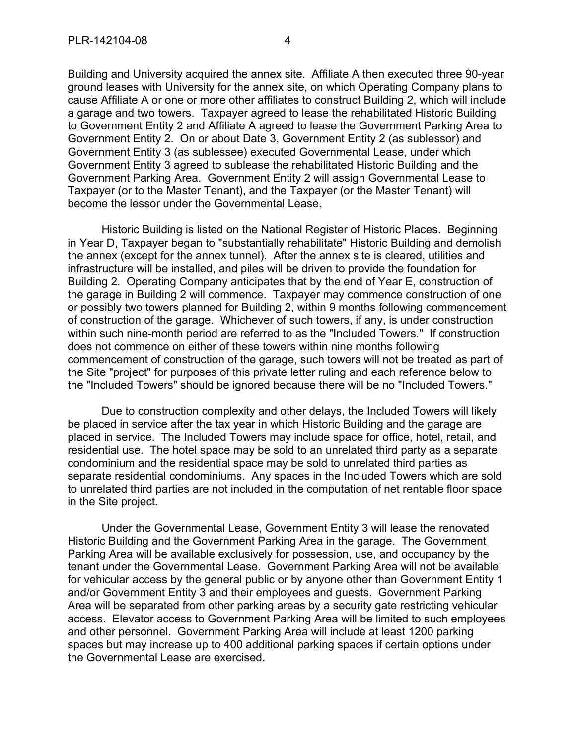Building and University acquired the annex site. Affiliate A then executed three 90-year ground leases with University for the annex site, on which Operating Company plans to cause Affiliate A or one or more other affiliates to construct Building 2, which will include a garage and two towers. Taxpayer agreed to lease the rehabilitated Historic Building to Government Entity 2 and Affiliate A agreed to lease the Government Parking Area to Government Entity 2. On or about Date 3, Government Entity 2 (as sublessor) and Government Entity 3 (as sublessee) executed Governmental Lease, under which Government Entity 3 agreed to sublease the rehabilitated Historic Building and the Government Parking Area. Government Entity 2 will assign Governmental Lease to Taxpayer (or to the Master Tenant), and the Taxpayer (or the Master Tenant) will become the lessor under the Governmental Lease.

Historic Building is listed on the National Register of Historic Places. Beginning in Year D, Taxpayer began to "substantially rehabilitate" Historic Building and demolish the annex (except for the annex tunnel). After the annex site is cleared, utilities and infrastructure will be installed, and piles will be driven to provide the foundation for Building 2. Operating Company anticipates that by the end of Year E, construction of the garage in Building 2 will commence. Taxpayer may commence construction of one or possibly two towers planned for Building 2, within 9 months following commencement of construction of the garage. Whichever of such towers, if any, is under construction within such nine-month period are referred to as the "Included Towers." If construction does not commence on either of these towers within nine months following commencement of construction of the garage, such towers will not be treated as part of the Site "project" for purposes of this private letter ruling and each reference below to the "Included Towers" should be ignored because there will be no "Included Towers."

Due to construction complexity and other delays, the Included Towers will likely be placed in service after the tax year in which Historic Building and the garage are placed in service. The Included Towers may include space for office, hotel, retail, and residential use. The hotel space may be sold to an unrelated third party as a separate condominium and the residential space may be sold to unrelated third parties as separate residential condominiums. Any spaces in the Included Towers which are sold to unrelated third parties are not included in the computation of net rentable floor space in the Site project.

Under the Governmental Lease, Government Entity 3 will lease the renovated Historic Building and the Government Parking Area in the garage. The Government Parking Area will be available exclusively for possession, use, and occupancy by the tenant under the Governmental Lease. Government Parking Area will not be available for vehicular access by the general public or by anyone other than Government Entity 1 and/or Government Entity 3 and their employees and guests. Government Parking Area will be separated from other parking areas by a security gate restricting vehicular access. Elevator access to Government Parking Area will be limited to such employees and other personnel. Government Parking Area will include at least 1200 parking spaces but may increase up to 400 additional parking spaces if certain options under the Governmental Lease are exercised.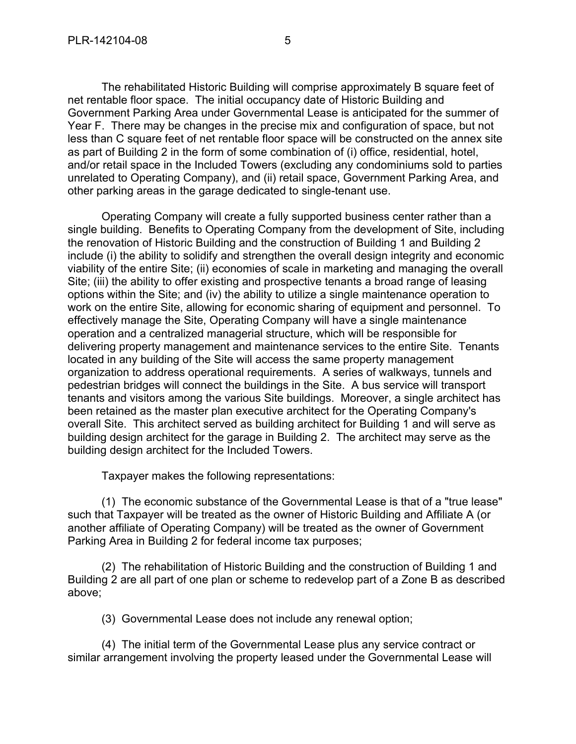The rehabilitated Historic Building will comprise approximately B square feet of net rentable floor space. The initial occupancy date of Historic Building and Government Parking Area under Governmental Lease is anticipated for the summer of Year F. There may be changes in the precise mix and configuration of space, but not less than C square feet of net rentable floor space will be constructed on the annex site as part of Building 2 in the form of some combination of (i) office, residential, hotel, and/or retail space in the Included Towers (excluding any condominiums sold to parties unrelated to Operating Company), and (ii) retail space, Government Parking Area, and other parking areas in the garage dedicated to single-tenant use.

Operating Company will create a fully supported business center rather than a single building. Benefits to Operating Company from the development of Site, including the renovation of Historic Building and the construction of Building 1 and Building 2 include (i) the ability to solidify and strengthen the overall design integrity and economic viability of the entire Site; (ii) economies of scale in marketing and managing the overall Site; (iii) the ability to offer existing and prospective tenants a broad range of leasing options within the Site; and (iv) the ability to utilize a single maintenance operation to work on the entire Site, allowing for economic sharing of equipment and personnel. To effectively manage the Site, Operating Company will have a single maintenance operation and a centralized managerial structure, which will be responsible for delivering property management and maintenance services to the entire Site. Tenants located in any building of the Site will access the same property management organization to address operational requirements. A series of walkways, tunnels and pedestrian bridges will connect the buildings in the Site. A bus service will transport tenants and visitors among the various Site buildings. Moreover, a single architect has been retained as the master plan executive architect for the Operating Company's overall Site. This architect served as building architect for Building 1 and will serve as building design architect for the garage in Building 2. The architect may serve as the building design architect for the Included Towers.

Taxpayer makes the following representations:

(1) The economic substance of the Governmental Lease is that of a "true lease" such that Taxpayer will be treated as the owner of Historic Building and Affiliate A (or another affiliate of Operating Company) will be treated as the owner of Government Parking Area in Building 2 for federal income tax purposes;

(2) The rehabilitation of Historic Building and the construction of Building 1 and Building 2 are all part of one plan or scheme to redevelop part of a Zone B as described above;

(3) Governmental Lease does not include any renewal option;

(4) The initial term of the Governmental Lease plus any service contract or similar arrangement involving the property leased under the Governmental Lease will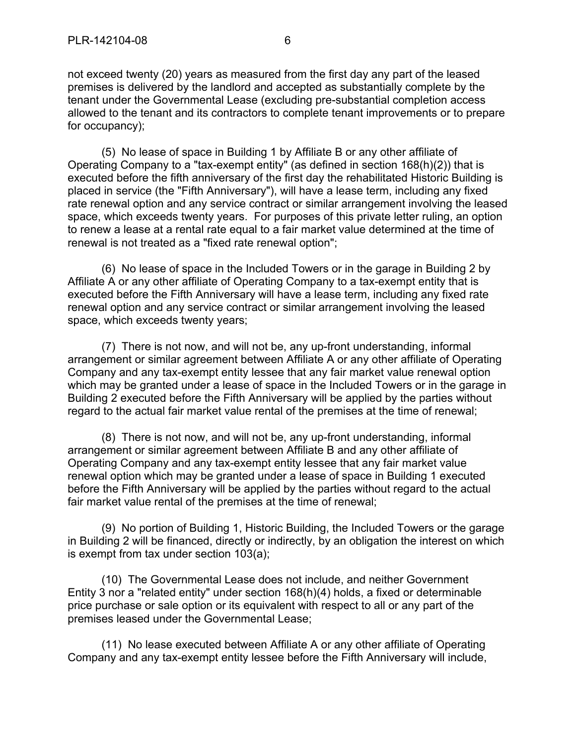not exceed twenty (20) years as measured from the first day any part of the leased premises is delivered by the landlord and accepted as substantially complete by the tenant under the Governmental Lease (excluding pre-substantial completion access allowed to the tenant and its contractors to complete tenant improvements or to prepare for occupancy);

(5) No lease of space in Building 1 by Affiliate B or any other affiliate of Operating Company to a "tax-exempt entity" (as defined in section 168(h)(2)) that is executed before the fifth anniversary of the first day the rehabilitated Historic Building is placed in service (the "Fifth Anniversary"), will have a lease term, including any fixed rate renewal option and any service contract or similar arrangement involving the leased space, which exceeds twenty years. For purposes of this private letter ruling, an option to renew a lease at a rental rate equal to a fair market value determined at the time of renewal is not treated as a "fixed rate renewal option";

(6) No lease of space in the Included Towers or in the garage in Building 2 by Affiliate A or any other affiliate of Operating Company to a tax-exempt entity that is executed before the Fifth Anniversary will have a lease term, including any fixed rate renewal option and any service contract or similar arrangement involving the leased space, which exceeds twenty years;

(7) There is not now, and will not be, any up-front understanding, informal arrangement or similar agreement between Affiliate A or any other affiliate of Operating Company and any tax-exempt entity lessee that any fair market value renewal option which may be granted under a lease of space in the Included Towers or in the garage in Building 2 executed before the Fifth Anniversary will be applied by the parties without regard to the actual fair market value rental of the premises at the time of renewal;

(8) There is not now, and will not be, any up-front understanding, informal arrangement or similar agreement between Affiliate B and any other affiliate of Operating Company and any tax-exempt entity lessee that any fair market value renewal option which may be granted under a lease of space in Building 1 executed before the Fifth Anniversary will be applied by the parties without regard to the actual fair market value rental of the premises at the time of renewal;

(9) No portion of Building 1, Historic Building, the Included Towers or the garage in Building 2 will be financed, directly or indirectly, by an obligation the interest on which is exempt from tax under section 103(a);

(10) The Governmental Lease does not include, and neither Government Entity 3 nor a "related entity" under section 168(h)(4) holds, a fixed or determinable price purchase or sale option or its equivalent with respect to all or any part of the premises leased under the Governmental Lease;

(11) No lease executed between Affiliate A or any other affiliate of Operating Company and any tax-exempt entity lessee before the Fifth Anniversary will include,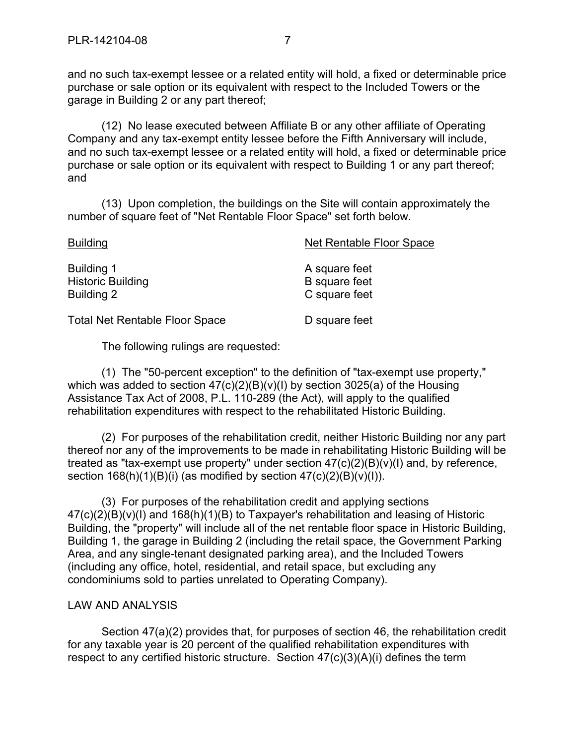and no such tax-exempt lessee or a related entity will hold, a fixed or determinable price purchase or sale option or its equivalent with respect to the Included Towers or the garage in Building 2 or any part thereof;

(12) No lease executed between Affiliate B or any other affiliate of Operating Company and any tax-exempt entity lessee before the Fifth Anniversary will include, and no such tax-exempt lessee or a related entity will hold, a fixed or determinable price purchase or sale option or its equivalent with respect to Building 1 or any part thereof; and

(13) Upon completion, the buildings on the Site will contain approximately the number of square feet of "Net Rentable Floor Space" set forth below.

| <b>Building</b>                                             | Net Rentable Floor Space                               |
|-------------------------------------------------------------|--------------------------------------------------------|
| <b>Building 1</b><br><b>Historic Building</b><br>Building 2 | A square feet<br><b>B</b> square feet<br>C square feet |
| <b>Total Net Rentable Floor Space</b>                       | D square feet                                          |

The following rulings are requested:

(1) The "50-percent exception" to the definition of "tax-exempt use property," which was added to section 47(c)(2)(B)(v)(I) by section 3025(a) of the Housing Assistance Tax Act of 2008, P.L. 110-289 (the Act), will apply to the qualified rehabilitation expenditures with respect to the rehabilitated Historic Building.

(2) For purposes of the rehabilitation credit, neither Historic Building nor any part thereof nor any of the improvements to be made in rehabilitating Historic Building will be treated as "tax-exempt use property" under section  $47(c)(2)(B)(v)(I)$  and, by reference, section  $168(h)(1)(B)(i)$  (as modified by section  $47(c)(2)(B)(v)(i)$ ).

(3) For purposes of the rehabilitation credit and applying sections 47(c)(2)(B)(v)(I) and 168(h)(1)(B) to Taxpayer's rehabilitation and leasing of Historic Building, the "property" will include all of the net rentable floor space in Historic Building, Building 1, the garage in Building 2 (including the retail space, the Government Parking Area, and any single-tenant designated parking area), and the Included Towers (including any office, hotel, residential, and retail space, but excluding any condominiums sold to parties unrelated to Operating Company).

#### LAW AND ANALYSIS

Section 47(a)(2) provides that, for purposes of section 46, the rehabilitation credit for any taxable year is 20 percent of the qualified rehabilitation expenditures with respect to any certified historic structure. Section 47(c)(3)(A)(i) defines the term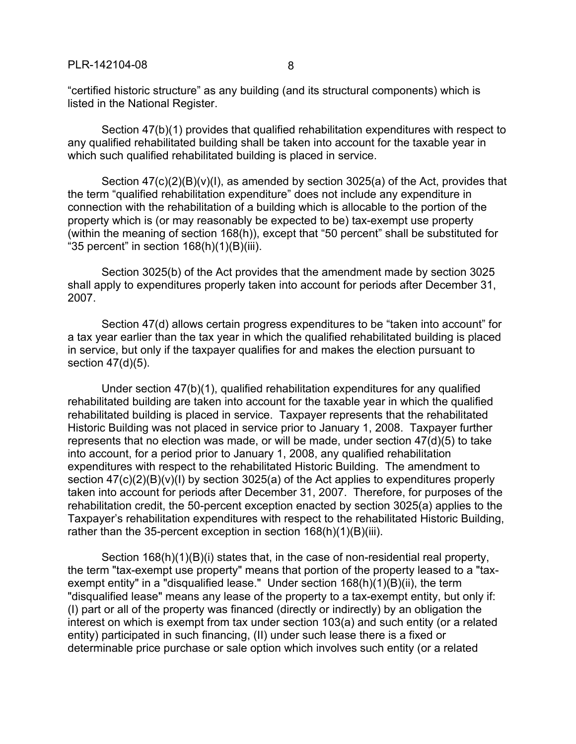"certified historic structure" as any building (and its structural components) which is listed in the National Register.

Section 47(b)(1) provides that qualified rehabilitation expenditures with respect to any qualified rehabilitated building shall be taken into account for the taxable year in which such qualified rehabilitated building is placed in service.

Section  $47(c)(2)(B)(v)(I)$ , as amended by section 3025(a) of the Act, provides that the term "qualified rehabilitation expenditure" does not include any expenditure in connection with the rehabilitation of a building which is allocable to the portion of the property which is (or may reasonably be expected to be) tax-exempt use property (within the meaning of section 168(h)), except that "50 percent" shall be substituted for "35 percent" in section  $168(h)(1)(B)(iii)$ .

Section 3025(b) of the Act provides that the amendment made by section 3025 shall apply to expenditures properly taken into account for periods after December 31, 2007.

Section 47(d) allows certain progress expenditures to be "taken into account" for a tax year earlier than the tax year in which the qualified rehabilitated building is placed in service, but only if the taxpayer qualifies for and makes the election pursuant to section 47(d)(5).

Under section 47(b)(1), qualified rehabilitation expenditures for any qualified rehabilitated building are taken into account for the taxable year in which the qualified rehabilitated building is placed in service. Taxpayer represents that the rehabilitated Historic Building was not placed in service prior to January 1, 2008. Taxpayer further represents that no election was made, or will be made, under section 47(d)(5) to take into account, for a period prior to January 1, 2008, any qualified rehabilitation expenditures with respect to the rehabilitated Historic Building. The amendment to section 47(c)(2)(B)(v)(I) by section 3025(a) of the Act applies to expenditures properly taken into account for periods after December 31, 2007. Therefore, for purposes of the rehabilitation credit, the 50-percent exception enacted by section 3025(a) applies to the Taxpayer's rehabilitation expenditures with respect to the rehabilitated Historic Building, rather than the 35-percent exception in section  $168(h)(1)(B)(iii)$ .

Section 168(h)(1)(B)(i) states that, in the case of non-residential real property, the term "tax-exempt use property" means that portion of the property leased to a "taxexempt entity" in a "disqualified lease." Under section 168(h)(1)(B)(ii), the term "disqualified lease" means any lease of the property to a tax-exempt entity, but only if: (I) part or all of the property was financed (directly or indirectly) by an obligation the interest on which is exempt from tax under section 103(a) and such entity (or a related entity) participated in such financing, (II) under such lease there is a fixed or determinable price purchase or sale option which involves such entity (or a related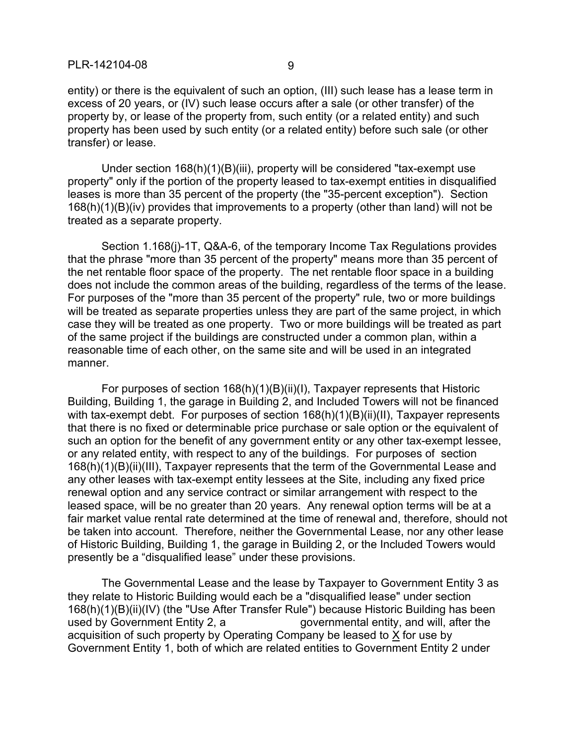entity) or there is the equivalent of such an option, (III) such lease has a lease term in excess of 20 years, or (IV) such lease occurs after a sale (or other transfer) of the property by, or lease of the property from, such entity (or a related entity) and such property has been used by such entity (or a related entity) before such sale (or other transfer) or lease.

Under section 168(h)(1)(B)(iii), property will be considered "tax-exempt use property" only if the portion of the property leased to tax-exempt entities in disqualified leases is more than 35 percent of the property (the "35-percent exception"). Section 168(h)(1)(B)(iv) provides that improvements to a property (other than land) will not be treated as a separate property.

Section 1.168(j)-1T, Q&A-6, of the temporary Income Tax Regulations provides that the phrase "more than 35 percent of the property" means more than 35 percent of the net rentable floor space of the property. The net rentable floor space in a building does not include the common areas of the building, regardless of the terms of the lease. For purposes of the "more than 35 percent of the property" rule, two or more buildings will be treated as separate properties unless they are part of the same project, in which case they will be treated as one property. Two or more buildings will be treated as part of the same project if the buildings are constructed under a common plan, within a reasonable time of each other, on the same site and will be used in an integrated manner.

For purposes of section 168(h)(1)(B)(ii)(I), Taxpayer represents that Historic Building, Building 1, the garage in Building 2, and Included Towers will not be financed with tax-exempt debt. For purposes of section 168(h)(1)(B)(ii)(II), Taxpayer represents that there is no fixed or determinable price purchase or sale option or the equivalent of such an option for the benefit of any government entity or any other tax-exempt lessee, or any related entity, with respect to any of the buildings. For purposes of section 168(h)(1)(B)(ii)(III), Taxpayer represents that the term of the Governmental Lease and any other leases with tax-exempt entity lessees at the Site, including any fixed price renewal option and any service contract or similar arrangement with respect to the leased space, will be no greater than 20 years. Any renewal option terms will be at a fair market value rental rate determined at the time of renewal and, therefore, should not be taken into account. Therefore, neither the Governmental Lease, nor any other lease of Historic Building, Building 1, the garage in Building 2, or the Included Towers would presently be a "disqualified lease" under these provisions.

The Governmental Lease and the lease by Taxpayer to Government Entity 3 as they relate to Historic Building would each be a "disqualified lease" under section 168(h)(1)(B)(ii)(IV) (the "Use After Transfer Rule") because Historic Building has been used by Government Entity 2, a state of governmental entity, and will, after the acquisition of such property by Operating Company be leased to  $X$  for use by Government Entity 1, both of which are related entities to Government Entity 2 under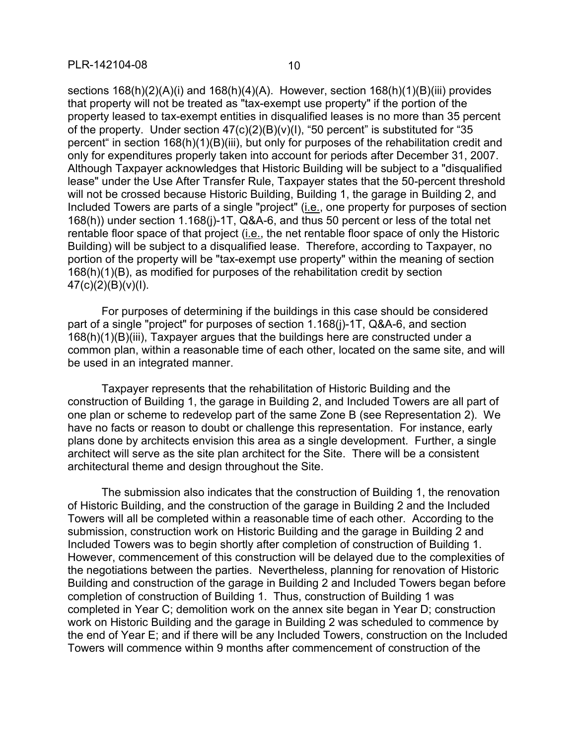sections 168(h)(2)(A)(i) and 168(h)(4)(A). However, section 168(h)(1)(B)(iii) provides that property will not be treated as "tax-exempt use property" if the portion of the property leased to tax-exempt entities in disqualified leases is no more than 35 percent of the property. Under section  $47(c)(2)(B)(v)(1)$ , "50 percent" is substituted for "35 percent" in section 168(h)(1)(B)(iii), but only for purposes of the rehabilitation credit and only for expenditures properly taken into account for periods after December 31, 2007. Although Taxpayer acknowledges that Historic Building will be subject to a "disqualified lease" under the Use After Transfer Rule, Taxpayer states that the 50-percent threshold will not be crossed because Historic Building, Building 1, the garage in Building 2, and Included Towers are parts of a single "project" (i.e., one property for purposes of section 168(h)) under section 1.168(j)-1T, Q&A-6, and thus 50 percent or less of the total net rentable floor space of that project (i.e., the net rentable floor space of only the Historic Building) will be subject to a disqualified lease. Therefore, according to Taxpayer, no portion of the property will be "tax-exempt use property" within the meaning of section 168(h)(1)(B), as modified for purposes of the rehabilitation credit by section  $47(c)(2)(B)(v)(I).$ 

For purposes of determining if the buildings in this case should be considered part of a single "project" for purposes of section 1.168(j)-1T, Q&A-6, and section 168(h)(1)(B)(iii), Taxpayer argues that the buildings here are constructed under a common plan, within a reasonable time of each other, located on the same site, and will be used in an integrated manner.

Taxpayer represents that the rehabilitation of Historic Building and the construction of Building 1, the garage in Building 2, and Included Towers are all part of one plan or scheme to redevelop part of the same Zone B (see Representation 2). We have no facts or reason to doubt or challenge this representation. For instance, early plans done by architects envision this area as a single development. Further, a single architect will serve as the site plan architect for the Site. There will be a consistent architectural theme and design throughout the Site.

The submission also indicates that the construction of Building 1, the renovation of Historic Building, and the construction of the garage in Building 2 and the Included Towers will all be completed within a reasonable time of each other. According to the submission, construction work on Historic Building and the garage in Building 2 and Included Towers was to begin shortly after completion of construction of Building 1. However, commencement of this construction will be delayed due to the complexities of the negotiations between the parties. Nevertheless, planning for renovation of Historic Building and construction of the garage in Building 2 and Included Towers began before completion of construction of Building 1. Thus, construction of Building 1 was completed in Year C; demolition work on the annex site began in Year D; construction work on Historic Building and the garage in Building 2 was scheduled to commence by the end of Year E; and if there will be any Included Towers, construction on the Included Towers will commence within 9 months after commencement of construction of the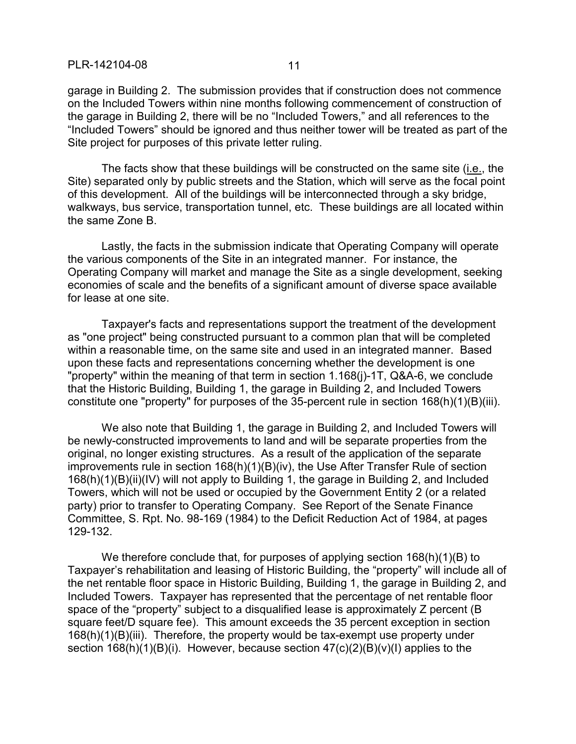garage in Building 2. The submission provides that if construction does not commence on the Included Towers within nine months following commencement of construction of the garage in Building 2, there will be no "Included Towers," and all references to the "Included Towers" should be ignored and thus neither tower will be treated as part of the Site project for purposes of this private letter ruling.

The facts show that these buildings will be constructed on the same site (i.e., the Site) separated only by public streets and the Station, which will serve as the focal point of this development. All of the buildings will be interconnected through a sky bridge, walkways, bus service, transportation tunnel, etc. These buildings are all located within the same Zone B.

Lastly, the facts in the submission indicate that Operating Company will operate the various components of the Site in an integrated manner. For instance, the Operating Company will market and manage the Site as a single development, seeking economies of scale and the benefits of a significant amount of diverse space available for lease at one site.

Taxpayer's facts and representations support the treatment of the development as "one project" being constructed pursuant to a common plan that will be completed within a reasonable time, on the same site and used in an integrated manner. Based upon these facts and representations concerning whether the development is one "property" within the meaning of that term in section 1.168(j)-1T, Q&A-6, we conclude that the Historic Building, Building 1, the garage in Building 2, and Included Towers constitute one "property" for purposes of the 35-percent rule in section 168(h)(1)(B)(iii).

We also note that Building 1, the garage in Building 2, and Included Towers will be newly-constructed improvements to land and will be separate properties from the original, no longer existing structures. As a result of the application of the separate improvements rule in section 168(h)(1)(B)(iv), the Use After Transfer Rule of section 168(h)(1)(B)(ii)(IV) will not apply to Building 1, the garage in Building 2, and Included Towers, which will not be used or occupied by the Government Entity 2 (or a related party) prior to transfer to Operating Company. See Report of the Senate Finance Committee, S. Rpt. No. 98-169 (1984) to the Deficit Reduction Act of 1984, at pages 129-132.

We therefore conclude that, for purposes of applying section 168(h)(1)(B) to Taxpayer's rehabilitation and leasing of Historic Building, the "property" will include all of the net rentable floor space in Historic Building, Building 1, the garage in Building 2, and Included Towers. Taxpayer has represented that the percentage of net rentable floor space of the "property" subject to a disqualified lease is approximately Z percent (B square feet/D square fee). This amount exceeds the 35 percent exception in section 168(h)(1)(B)(iii). Therefore, the property would be tax-exempt use property under section  $168(h)(1)(B)(i)$ . However, because section  $47(c)(2)(B)(v)(I)$  applies to the